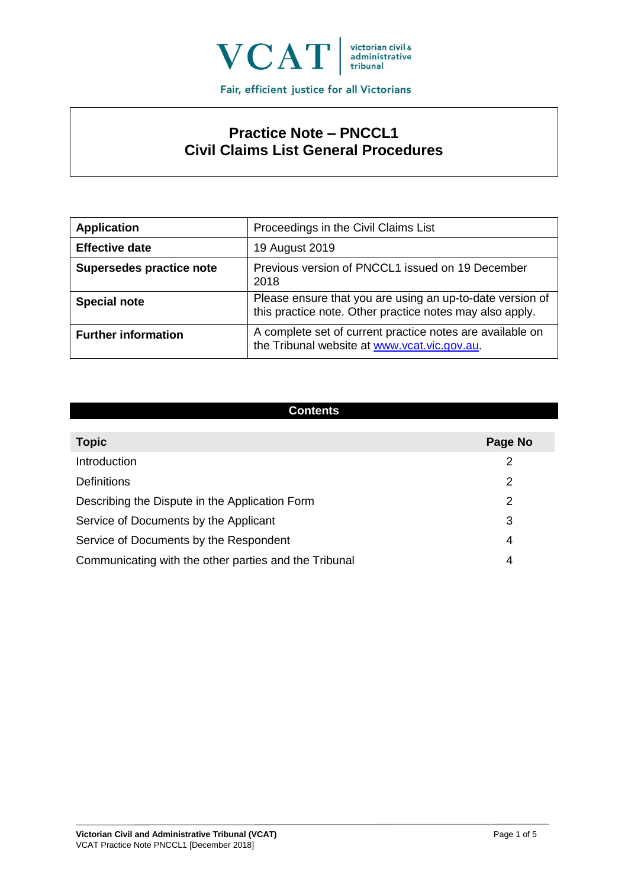

# **Practice Note – PNCCL1 Civil Claims List General Procedures**

| <b>Application</b>         | Proceedings in the Civil Claims List                                                                                  |
|----------------------------|-----------------------------------------------------------------------------------------------------------------------|
| <b>Effective date</b>      | 19 August 2019                                                                                                        |
| Supersedes practice note   | Previous version of PNCCL1 issued on 19 December<br>2018                                                              |
| <b>Special note</b>        | Please ensure that you are using an up-to-date version of<br>this practice note. Other practice notes may also apply. |
| <b>Further information</b> | A complete set of current practice notes are available on<br>the Tribunal website at www.vcat.vic.gov.au.             |

#### **Contents**

| <b>Topic</b>                                          | Page No |
|-------------------------------------------------------|---------|
| Introduction                                          | 2       |
| <b>Definitions</b>                                    | 2       |
| Describing the Dispute in the Application Form        | 2       |
| Service of Documents by the Applicant                 | 3       |
| Service of Documents by the Respondent                | 4       |
| Communicating with the other parties and the Tribunal | 4       |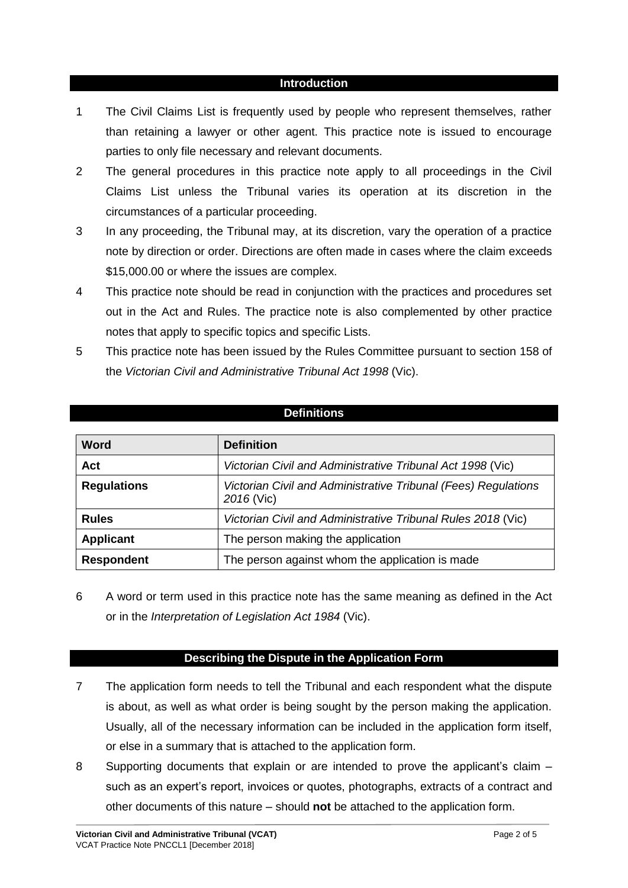#### **Introduction**

- 1 The Civil Claims List is frequently used by people who represent themselves, rather than retaining a lawyer or other agent. This practice note is issued to encourage parties to only file necessary and relevant documents.
- 2 The general procedures in this practice note apply to all proceedings in the Civil Claims List unless the Tribunal varies its operation at its discretion in the circumstances of a particular proceeding.
- 3 In any proceeding, the Tribunal may, at its discretion, vary the operation of a practice note by direction or order. Directions are often made in cases where the claim exceeds \$15,000.00 or where the issues are complex.
- 4 This practice note should be read in conjunction with the practices and procedures set out in the Act and Rules. The practice note is also complemented by other practice notes that apply to specific topics and specific Lists.
- 5 This practice note has been issued by the Rules Committee pursuant to section 158 of the *Victorian Civil and Administrative Tribunal Act 1998* (Vic).

#### **Definitions**

| <b>Word</b>        | <b>Definition</b>                                                            |
|--------------------|------------------------------------------------------------------------------|
| Act                | Victorian Civil and Administrative Tribunal Act 1998 (Vic)                   |
| <b>Regulations</b> | Victorian Civil and Administrative Tribunal (Fees) Regulations<br>2016 (Vic) |
| <b>Rules</b>       | Victorian Civil and Administrative Tribunal Rules 2018 (Vic)                 |
| <b>Applicant</b>   | The person making the application                                            |
| <b>Respondent</b>  | The person against whom the application is made                              |

6 A word or term used in this practice note has the same meaning as defined in the Act or in the *Interpretation of Legislation Act 1984* (Vic).

## **Describing the Dispute in the Application Form**

- 7 The application form needs to tell the Tribunal and each respondent what the dispute is about, as well as what order is being sought by the person making the application. Usually, all of the necessary information can be included in the application form itself, or else in a summary that is attached to the application form.
- 8 Supporting documents that explain or are intended to prove the applicant's claim such as an expert's report, invoices or quotes, photographs, extracts of a contract and other documents of this nature – should **not** be attached to the application form.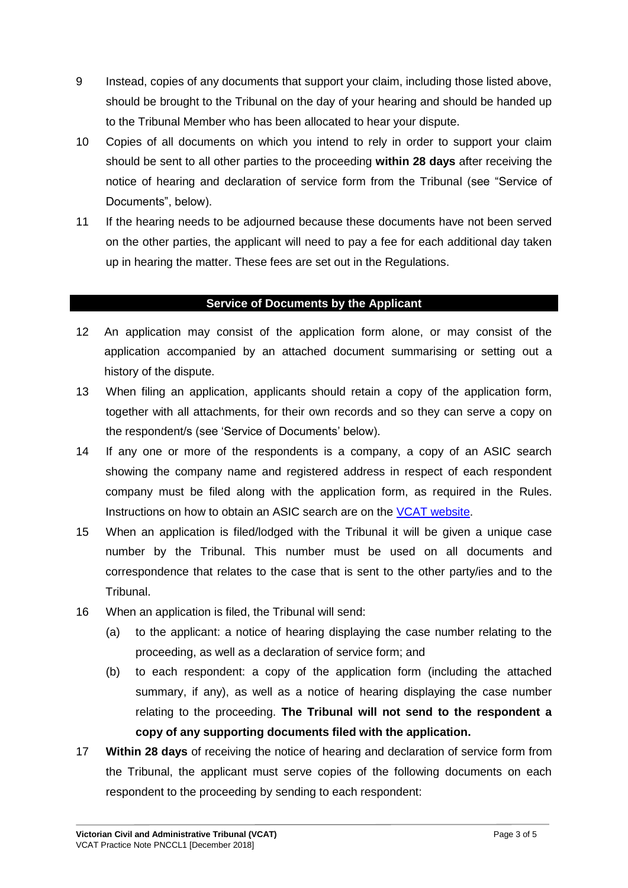- 9 Instead, copies of any documents that support your claim, including those listed above, should be brought to the Tribunal on the day of your hearing and should be handed up to the Tribunal Member who has been allocated to hear your dispute.
- 10 Copies of all documents on which you intend to rely in order to support your claim should be sent to all other parties to the proceeding **within 28 days** after receiving the notice of hearing and declaration of service form from the Tribunal (see "Service of Documents", below).
- 11 If the hearing needs to be adjourned because these documents have not been served on the other parties, the applicant will need to pay a fee for each additional day taken up in hearing the matter. These fees are set out in the Regulations.

## **Service of Documents by the Applicant**

- 12 An application may consist of the application form alone, or may consist of the application accompanied by an attached document summarising or setting out a history of the dispute.
- 13 When filing an application, applicants should retain a copy of the application form, together with all attachments, for their own records and so they can serve a copy on the respondent/s (see 'Service of Documents' below).
- 14 If any one or more of the respondents is a company, a copy of an ASIC search showing the company name and registered address in respect of each respondent company must be filed along with the application form, as required in the Rules. Instructions on how to obtain an ASIC search are on the [VCAT website.](https://www.vcat.vic.gov.au/disputes/civil-disputes/news/important-information-about-lodging-application)
- 15 When an application is filed/lodged with the Tribunal it will be given a unique case number by the Tribunal. This number must be used on all documents and correspondence that relates to the case that is sent to the other party/ies and to the Tribunal.
- 16 When an application is filed, the Tribunal will send:
	- (a) to the applicant: a notice of hearing displaying the case number relating to the proceeding, as well as a declaration of service form; and
	- (b) to each respondent: a copy of the application form (including the attached summary, if any), as well as a notice of hearing displaying the case number relating to the proceeding. **The Tribunal will not send to the respondent a copy of any supporting documents filed with the application.**
- 17 **Within 28 days** of receiving the notice of hearing and declaration of service form from the Tribunal, the applicant must serve copies of the following documents on each respondent to the proceeding by sending to each respondent: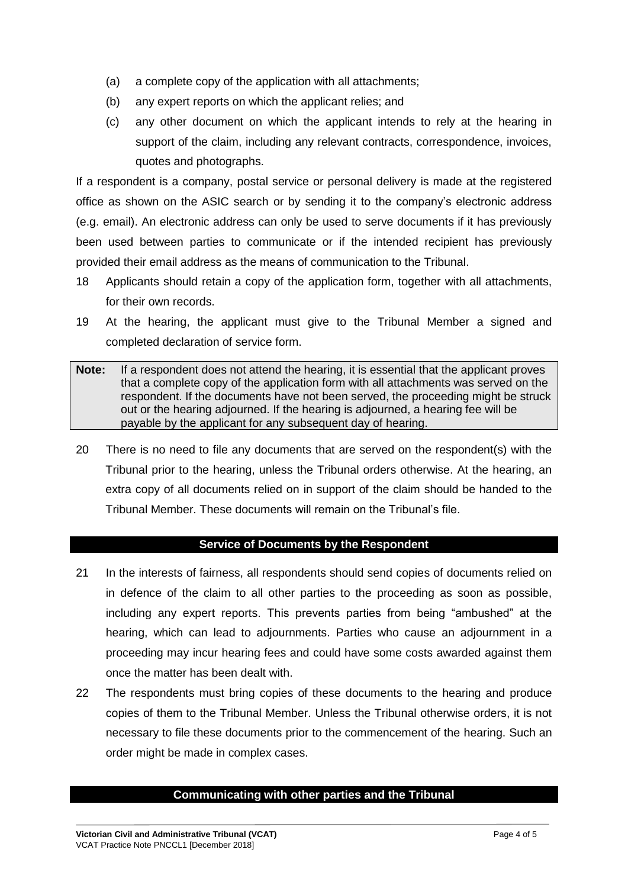- (a) a complete copy of the application with all attachments;
- (b) any expert reports on which the applicant relies; and
- (c) any other document on which the applicant intends to rely at the hearing in support of the claim, including any relevant contracts, correspondence, invoices, quotes and photographs.

If a respondent is a company, postal service or personal delivery is made at the registered office as shown on the ASIC search or by sending it to the company's electronic address (e.g. email). An electronic address can only be used to serve documents if it has previously been used between parties to communicate or if the intended recipient has previously provided their email address as the means of communication to the Tribunal.

- 18 Applicants should retain a copy of the application form, together with all attachments, for their own records.
- 19 At the hearing, the applicant must give to the Tribunal Member a signed and completed declaration of service form.
- **Note:** If a respondent does not attend the hearing, it is essential that the applicant proves that a complete copy of the application form with all attachments was served on the respondent. If the documents have not been served, the proceeding might be struck out or the hearing adjourned. If the hearing is adjourned, a hearing fee will be payable by the applicant for any subsequent day of hearing.
- 20 There is no need to file any documents that are served on the respondent(s) with the Tribunal prior to the hearing, unless the Tribunal orders otherwise. At the hearing, an extra copy of all documents relied on in support of the claim should be handed to the Tribunal Member. These documents will remain on the Tribunal's file.

## **Service of Documents by the Respondent**

- 21 In the interests of fairness, all respondents should send copies of documents relied on in defence of the claim to all other parties to the proceeding as soon as possible, including any expert reports. This prevents parties from being "ambushed" at the hearing, which can lead to adjournments. Parties who cause an adjournment in a proceeding may incur hearing fees and could have some costs awarded against them once the matter has been dealt with.
- 22 The respondents must bring copies of these documents to the hearing and produce copies of them to the Tribunal Member. Unless the Tribunal otherwise orders, it is not necessary to file these documents prior to the commencement of the hearing. Such an order might be made in complex cases.

#### **Communicating with other parties and the Tribunal**